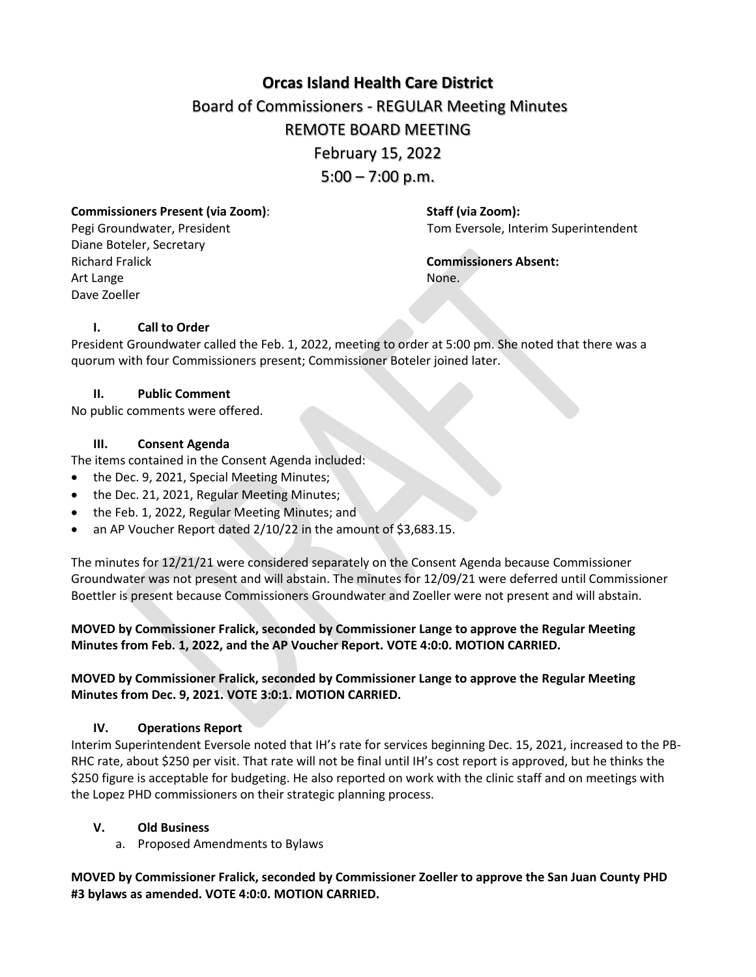# **[Orcas Island Health Care District](https://docs.google.com/document/d/1Ry8pgZ_nPvvmr9hj0f-9LE0fctWbFRHEpPoSe_gNVRw/edit?usp=sharing)** Board of Commissioners - REGULAR Meeting Minutes REMOTE BOARD MEETING February 15, 2022  $5:00 - 7:00$  p.m.

#### **Commissioners Present (via Zoom)**: **Staff (via Zoom):**

Diane Boteler, Secretary Richard Fralick **Commissioners Absent:** Art Lange None. Dave Zoeller

Pegi Groundwater, President Tom Eversole, Interim Superintendent

## **I. Call to Order**

President Groundwater called the Feb. 1, 2022, meeting to order at 5:00 pm. She noted that there was a quorum with four Commissioners present; Commissioner Boteler joined later.

#### **II. Public Comment**

No public comments were offered.

## **III. Consent Agenda**

The items contained in the Consent Agenda included:

- the Dec. 9, 2021, Special Meeting Minutes;
- the Dec. 21, 2021, Regular Meeting Minutes;
- the Feb. 1, 2022, Regular Meeting Minutes; and
- an AP Voucher Report dated 2/10/22 in the amount of \$3,683.15.

The minutes for 12/21/21 were considered separately on the Consent Agenda because Commissioner Groundwater was not present and will abstain. The minutes for 12/09/21 were deferred until Commissioner Boettler is present because Commissioners Groundwater and Zoeller were not present and will abstain.

## **MOVED by Commissioner Fralick, seconded by Commissioner Lange to approve the Regular Meeting Minutes from Feb. 1, 2022, and the AP Voucher Report. VOTE 4:0:0. MOTION CARRIED.**

# **MOVED by Commissioner Fralick, seconded by Commissioner Lange to approve the Regular Meeting Minutes from Dec. 9, 2021. VOTE 3:0:1. MOTION CARRIED.**

#### **IV. Operations Report**

Interim Superintendent Eversole noted that IH's rate for services beginning Dec. 15, 2021, increased to the PB-RHC rate, about \$250 per visit. That rate will not be final until IH's cost report is approved, but he thinks the \$250 figure is acceptable for budgeting. He also reported on work with the clinic staff and on meetings with the Lopez PHD commissioners on their strategic planning process.

#### **V. Old Business**

a. Proposed Amendments to Bylaws

**MOVED by Commissioner Fralick, seconded by Commissioner Zoeller to approve the San Juan County PHD #3 bylaws as amended. VOTE 4:0:0. MOTION CARRIED.**